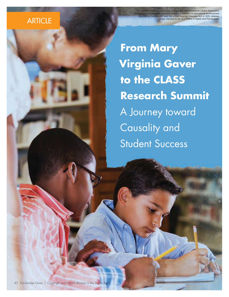All materials in this journal subject to copyright by the American Library Association ific or educational granted by Sections 107 and 108 of the Copyright Revision Act of 1976. Address usage requests to the ALA Office of Rights and Permissions.

# **ARTICLE**

**From Mary Virginia Gaver to the CLASS Research Summit**  A Journey toward Causality and Student Success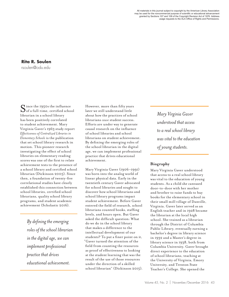All materials in this journal subject to copyright by the American Library Association may be used for the noncommercial purpose of scientific or educational advancement granted by Sections 107 and 108 of the Copyright Revision Act of 1976. Address usage requests to the ALA Office of Rights and Permissions.

**Rita R. Soulen** rsoulen@odu.edu

Since the 1950s the influence  $\bigcup$  of a full-time, certified school librarian in a school library has been positively correlated to student achievement. Mary Virginia Gaver's 1963 study report *Effectiveness of Centralized Libraries in Elementary Schools* is the publication that set school library research in motion. This pioneer research investigating the effect of school libraries on elementary reading scores was one of the first to relate achievement tests to the presence of a school library and certified school librarian (Dickinson 2005). Since then, a foundation of twenty-five correlational studies have clearly established this connection between school libraries, certified school librarians, quality school library programs, and student academic achievement (Scholastic 2016).

> *By defining the emerging roles of the school librarian in the digital age, we can implement professional practice that drives educational achievement.*

However, more than fifty years later we still understand little about how the practices of school librarians *cause* student success. Efforts are under way to generate causal research on the influence of school libraries and school librarians on student achievement. By defining the emerging roles of the school librarian in the digital age, we can implement professional practice that drives educational achievement.

Mary Virginia Gaver (1906–1991) was born into the analog world of linear physical data. Early in the twentieth century Gaver advocated for school libraries and sought to discover how school librarians and school library programs impact student achievement. Before Gaver entered the field of research, school librarians counted books, staffing levels, and hours open. But Gaver asked the difficult question: What do we do in the school library that makes a difference to the intellectual development of our students? To put a finer point on it, "Gaver turned the attention of the field from counting the resources as proof of effectiveness to looking at the student learning that was the result of the use of those resources under the direction of a skilled school librarian" (Dickinson 2015). *Mary Virginia Gaver understood that access to a real school library was vital to the education of young students.*

#### **Biography**

Mary Virginia Gaver understood that access to a real school library was vital to the education of young students. As a child she canvased door-to-door with her mother and brother to raise funds to buy books for the elementary school in their small mill village of Danville, Virginia. Gaver later served as an English teacher and in 1928 became the librarian at the local high school. She trained as a librarian through the District of Columbia Public Library, eventually earning a bachelor's degree in library science in 1932 and a Master's degree in library science in 1938, both from Columbia University. Gaver brought direct experience to the education of school librarians, teaching at the University of Virginia, Emory University, and Trenton State Teacher's College. She opened the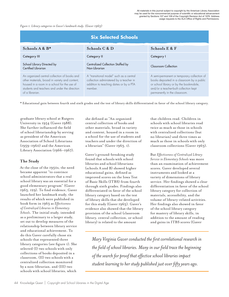*Figure 1. Library categories in Gaver's landmark study. (Gaver 1963)*

| <b>Six Selected Schools</b>                                                                                                                                                                                       |                                                                                                                                           |                                                                                                                                                                                                                 |
|-------------------------------------------------------------------------------------------------------------------------------------------------------------------------------------------------------------------|-------------------------------------------------------------------------------------------------------------------------------------------|-----------------------------------------------------------------------------------------------------------------------------------------------------------------------------------------------------------------|
| Schools $A \& B^*$                                                                                                                                                                                                | Schools C & D                                                                                                                             | Schools E & F                                                                                                                                                                                                   |
| <b>Category III</b>                                                                                                                                                                                               | <b>Category II</b>                                                                                                                        | Category I                                                                                                                                                                                                      |
| School Library Directed by<br>Certified Librarian                                                                                                                                                                 | Centralized Collection Staffed by<br>Non-Librarian                                                                                        | Classroom Collection                                                                                                                                                                                            |
| An organized central collection of books and<br>other materials, broad in variety and content,<br>housed in a room in a school for the use of<br>students and teachers and under the direction<br>of a librarian. | A "transitional model" such as a central<br>collection administered by a teacher in<br>addition to teaching duties or by a PTA<br>member. | A semi-permanent or temporary collection of<br>books deposited in a classroom by a public<br>or school library or by the bookmobile,<br>and/or a teacher-built collection kept<br>permanently in the classroom. |

\* Educational gain between fourth and sixth grades and the test of library skills differentiated in favor of the school library category.

graduate library school at Rutgers University in 1954 (Gaver 1988). She further influenced the field of school librarianship by serving as president of the American Association of School Librarians (1959–1960) and the American Library Association (1966–1967).

## **The Study**

At the close of the 1950s, the need became apparent "to convince school administrators that a real school library was an essential for a good elementary program" (Gaver 1963, 129). To find evidence, Gaver launched her landmark study, the results of which were published in book form in 1963 as *Effectiveness of Centralized Libraries in Elementary Schools*. The initial study, intended as a preliminary to a larger study, set out to develop measures of the relationship between library service and educational achievement. To do this Gaver carefully chose six schools that represented three library categories (see figure 1). She selected (I) two schools with only collections of books deposited in a classroom, (II) two schools with a centralized collection monitored by a non-librarian, and (III) two schools with school libraries, which

she defined as "An organized central collection of books and other materials, broad in variety and content, housed in a room in a school for the use of students and teachers and under the direction of a librarian" (Gaver 1963, 1).

Gaver's ground-breaking study found that schools with school libraries and school librarians (schools A and B) showed higher educational gains, defined as improved scores on the Iowa Test of Basic Skills (ITBS) from fourth through sixth grades. Findings also differentiated in favor of the school library category based on the test of library skills that she developed for this study (Gaver 1963). Gaver's evidence also showed that the library provision of the school (classroom library, central collection, or school library) is related to the amount

that children read. Children in schools with school libraries read twice as much as those in schools with centralized collections (but no librarian) and three times as much as those in schools with only classroom collections (Gaver 1963).

But *Effectiveness of Centralized Library Service in Elementary Schools* was more than an examination of achievement scores. Gaver developed several instruments and looked at a variety of dimensions of library service. Her findings showed a clear differentiation in favor of the school library category for collection of materials, accessibility, and the volume of library-related activities. Her findings also showed in favor of the school library category for mastery of library skills, in addition to the amount of reading and gains in ITBS scores (Gaver

*Mary Virginia Gaver conducted the first correlational research in the field of school libraries. Many in our field trace the beginning of the search for proof that effective school libraries impact student learning to her study published just over fifty years ago.*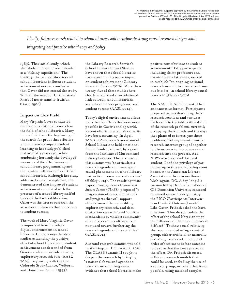*Ideally, future research related to school libraries will incorporate strong causal research designs while integrating best practice with theory and policy.*

1963). This initial study, which she labeled "Phase I," was intended as a "fishing expedition." The findings that school libraries and school librarians influence student achievement were so conclusive that Gaver did not extend the study. Without the need for further study Phase II never came to fruition (Gaver 1988).

### **Impact on Our Field**

Mary Virginia Gaver conducted the first correlational research in the field of school libraries. Many in our field trace the beginning of the search for proof that effective school libraries impact student learning to her study published just over fifty years ago. While conducting her study she developed measures of the effectiveness of school library programming and the positive influence of a certified school librarian. Although her study addressed a small sample size, she demonstrated that improved student achievement correlated with the presence of a school library staffed by a certified school librarian. Gaver was the first to research the activities in libraries that contribute to student success.

The work of Mary Virginia Gaver is important to us in today's digital environment in school libraries. In many ways the state studies evidencing the positive effect of school libraries on student achievement are descended from Gaver's work and provide a strong exploratory research base (AASL 2014). Beginning with the first Colorado Study (Lance, Welborn, and Hamilton-Pennell 1993),

the Library Research Service's School Library Impact Studies have shown that school libraries have a profound positive impact on student achievement (Library Research Service 2016). More than twenty-five of these studies have clearly established a correlational link between school librarians and school library programs, and student success (AASL 2014).

Today's digital environment allows us to display effects that were never possible in Gaver's analog world. Recent efforts to establish causality have been mounting. In April 2014 the American Association of School Librarians held a national forum funded, in part, by a grant from the Institute of Museum and Library Services. The purpose of this summit was "to articulate a research agenda and investigate causal phenomena in school library instruction, resources and services" (Habley 2014). The resulting white paper, *Causality: School Libraries and Student Success (CLASS),* proposed "a progression of research methods and projects that will support efforts toward theory building, exploratory research, and demonstration research" and "outline mechanisms by which a community of scholars can be cultivated and nurtured toward furthering the research agenda and its activities" (AASL 2014).

A second research summit was held in Washington, DC, in April 2016. The CLASS Summit II sought to deepen the research by bringing "a national focus and agenda to research surrounding causal evidence that school libraries make

positive contributions to student achievement." Fifty participants, including thirty professors and twenty doctoral students, worked to establish "an ongoing national research summit to ensure continuous [strides] in school library causal research" (Habley 2016).

The AASL CLASS Summit II had an innovative format. Participants prepared papers describing their research vexations and ventures. Each came to the table with a sketch of the research problems currently occupying their minds and the ways they planned to investigate these problems. Colleagues with similar research interests grouped together to discuss ways to introduce causal research into the process. As a NxtWave scholar and doctoral student, I had the privilege of participating in this trail-blazing event hosted at the American Library Association offices in northwest Washington, DC. A day-long discussion led by Dr. Shana Pribesh of Old Dominion University centered on causal research design using the PICO (Participants Intervention Control Outcome) model. Like Gaver, Pribesh asked the hard question: "How do you isolate the effect of the school librarian when the influence of the school library is diffuse?" To show causal relativity, she recommended using a control group, either artificial or naturally occurring, and careful temporal order of treatment before outcome to be sure that the cause precedes the effect. Dr. Pribesh discussed different research models that could be used, including the use of a control group, or, when that is not possible, using matched samples.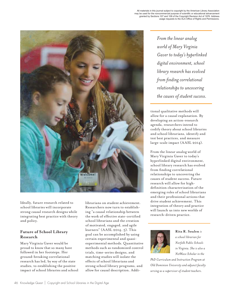

Ideally, future research related to school libraries will incorporate strong causal research designs while integrating best practice with theory and policy.

# **Future of School Library Research**

Mary Virginia Gaver would be proud to know that so many have followed in her footsteps. Her ground-breaking correlational research has led, by way of the state studies, to establishing the positive impact of school libraries and school librarians on student achievement. Researchers now turn to establishing "a causal relationship between the work of effective state-certified school librarians and the creation of motivated, engaged, and agile learners" (AASL 2014, 5). This goal can be accomplished by using certain experimental and quasiexperimental methods. Quantitative methods such as randomized control trials, time-series designs, and matching studies will isolate the effects of school librarians and strong school library programs, and allow for causal description. Addi-

*From the linear analog world of Mary Virginia Gaver to today's hyperlinked digital environment, school library research has evolved from finding correlational relationships to uncovering the causes of student success.*

tional qualitative methods will allow for a causal explanation. By developing an action-research agenda, researchers intend to codify theory about school libraries and school librarians, identify and test best practices, and measure large-scale impact (AASL 2014).

From the linear analog world of Mary Virginia Gaver to today's hyperlinked digital environment, school library research has evolved from finding correlational relationships to uncovering the causes of student success. Future research will allow for highdefinition characterization of the emerging roles of school librarians and their professional actions that drive student achievement. This integration of theory and practice will launch us into new worlds of research-driven practice.



#### **Rita R. Soulen** *is*

*a school librarian for Norfolk Public Schools in Virginia. She is also a NxtWave Scholar in the* 

*PhD Curriculum and Instruction Program at Old Dominion University and adjunct faculty serving as a supervisor of student teachers.*